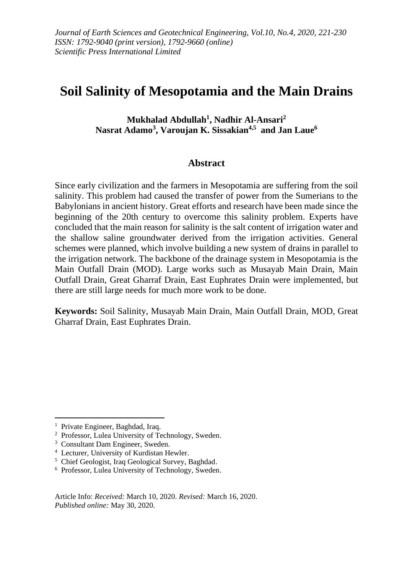# **Soil Salinity of Mesopotamia and the Main Drains**

**Mukhalad Abdullah<sup>1</sup> , Nadhir Al-Ansari<sup>2</sup> Nasrat Adamo<sup>3</sup> , Varoujan K. Sissakian4,5 and Jan Laue<sup>6</sup>**

#### **Abstract**

Since early civilization and the farmers in Mesopotamia are suffering from the soil salinity. This problem had caused the transfer of power from the Sumerians to the Babylonians in ancient history. Great efforts and research have been made since the beginning of the 20th century to overcome this salinity problem. Experts have concluded that the main reason for salinity is the salt content of irrigation water and the shallow saline groundwater derived from the irrigation activities. General schemes were planned, which involve building a new system of drains in parallel to the irrigation network. The backbone of the drainage system in Mesopotamia is the Main Outfall Drain (MOD). Large works such as Musayab Main Drain, Main Outfall Drain, Great Gharraf Drain, East Euphrates Drain were implemented, but there are still large needs for much more work to be done.

**Keywords:** Soil Salinity, Musayab Main Drain, Main Outfall Drain, MOD, Great Gharraf Drain, East Euphrates Drain.

<sup>&</sup>lt;sup>1</sup> Private Engineer, Baghdad, Iraq.

<sup>2</sup> Professor, Lulea University of Technology, Sweden.

<sup>&</sup>lt;sup>3</sup> Consultant Dam Engineer, Sweden.

<sup>4</sup> Lecturer, University of Kurdistan Hewler.

<sup>5</sup> Chief Geologist, Iraq Geological Survey, Baghdad.

<sup>6</sup> Professor, Lulea University of Technology, Sweden.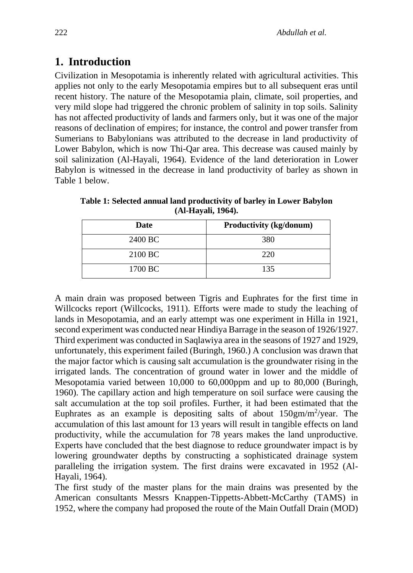### **1. Introduction**

Civilization in Mesopotamia is inherently related with agricultural activities. This applies not only to the early Mesopotamia empires but to all subsequent eras until recent history. The nature of the Mesopotamia plain, climate, soil properties, and very mild slope had triggered the chronic problem of salinity in top soils. Salinity has not affected productivity of lands and farmers only, but it was one of the major reasons of declination of empires; for instance, the control and power transfer from Sumerians to Babylonians was attributed to the decrease in land productivity of Lower Babylon, which is now Thi-Qar area. This decrease was caused mainly by soil salinization (Al-Hayali, 1964). Evidence of the land deterioration in Lower Babylon is witnessed in the decrease in land productivity of barley as shown in Table 1 below.

| <b>Date</b> | Productivity (kg/donum) |
|-------------|-------------------------|
| 2400 BC     | 380                     |
| 2100 BC     | 220                     |
| 1700 BC     | 135                     |

**Table 1: Selected annual land productivity of barley in Lower Babylon (Al-Hayali, 1964).**

A main drain was proposed between Tigris and Euphrates for the first time in Willcocks report (Willcocks, 1911). Efforts were made to study the leaching of lands in Mesopotamia, and an early attempt was one experiment in Hilla in 1921, second experiment was conducted near Hindiya Barrage in the season of 1926/1927. Third experiment was conducted in Saqlawiya area in the seasons of 1927 and 1929, unfortunately, this experiment failed (Buringh, 1960.) A conclusion was drawn that the major factor which is causing salt accumulation is the groundwater rising in the irrigated lands. The concentration of ground water in lower and the middle of Mesopotamia varied between 10,000 to 60,000ppm and up to 80,000 (Buringh, 1960). The capillary action and high temperature on soil surface were causing the salt accumulation at the top soil profiles. Further, it had been estimated that the Euphrates as an example is depositing salts of about  $150gm/m<sup>2</sup>/year$ . The accumulation of this last amount for 13 years will result in tangible effects on land productivity, while the accumulation for 78 years makes the land unproductive. Experts have concluded that the best diagnose to reduce groundwater impact is by lowering groundwater depths by constructing a sophisticated drainage system paralleling the irrigation system. The first drains were excavated in 1952 (Al-Hayali, 1964).

The first study of the master plans for the main drains was presented by the American consultants Messrs Knappen-Tippetts-Abbett-McCarthy (TAMS) in 1952, where the company had proposed the route of the Main Outfall Drain (MOD)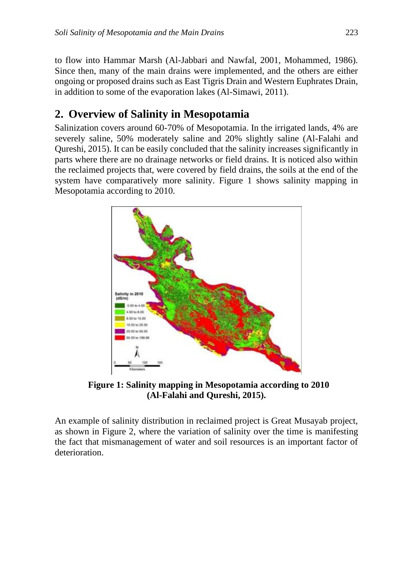to flow into Hammar Marsh (Al-Jabbari and Nawfal, 2001, Mohammed, 1986). Since then, many of the main drains were implemented, and the others are either ongoing or proposed drains such as East Tigris Drain and Western Euphrates Drain, in addition to some of the evaporation lakes (Al-Simawi, 2011).

### **2. Overview of Salinity in Mesopotamia**

Salinization covers around 60-70% of Mesopotamia. In the irrigated lands, 4% are severely saline, 50% moderately saline and 20% slightly saline (Al-Falahi and Qureshi, 2015). It can be easily concluded that the salinity increases significantly in parts where there are no drainage networks or field drains. It is noticed also within the reclaimed projects that, were covered by field drains, the soils at the end of the system have comparatively more salinity. Figure 1 shows salinity mapping in Mesopotamia according to 2010.



**Figure 1: Salinity mapping in Mesopotamia according to 2010 (Al-Falahi and Qureshi, 2015).** 

An example of salinity distribution in reclaimed project is Great Musayab project, as shown in Figure 2, where the variation of salinity over the time is manifesting the fact that mismanagement of water and soil resources is an important factor of deterioration.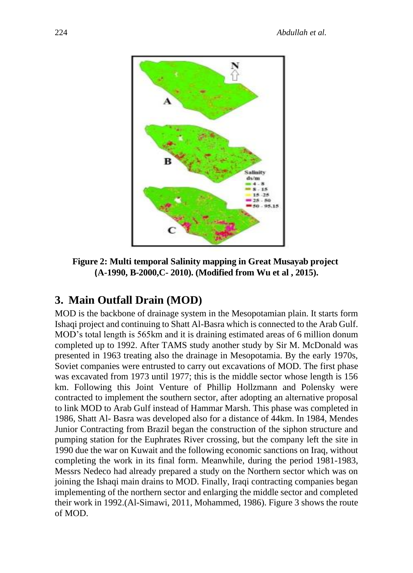

**Figure 2: Multi temporal Salinity mapping in Great Musayab project (A-1990, B-2000,C- 2010). (Modified from Wu et al , 2015).**

## **3. Main Outfall Drain (MOD)**

MOD is the backbone of drainage system in the Mesopotamian plain. It starts form Ishaqi project and continuing to Shatt Al-Basra which is connected to the Arab Gulf. MOD's total length is 565km and it is draining estimated areas of 6 million donum completed up to 1992. After TAMS study another study by Sir M. McDonald was presented in 1963 treating also the drainage in Mesopotamia. By the early 1970s, Soviet companies were entrusted to carry out excavations of MOD. The first phase was excavated from 1973 until 1977; this is the middle sector whose length is 156 km. Following this Joint Venture of Phillip Hollzmann and Polensky were contracted to implement the southern sector, after adopting an alternative proposal to link MOD to Arab Gulf instead of Hammar Marsh. This phase was completed in 1986, Shatt Al- Basra was developed also for a distance of 44km. In 1984, Mendes Junior Contracting from Brazil began the construction of the siphon structure and pumping station for the Euphrates River crossing, but the company left the site in 1990 due the war on Kuwait and the following economic sanctions on Iraq, without completing the work in its final form. Meanwhile, during the period 1981-1983, Messrs Nedeco had already prepared a study on the Northern sector which was on joining the Ishaqi main drains to MOD. Finally, Iraqi contracting companies began implementing of the northern sector and enlarging the middle sector and completed their work in 1992.(Al-Simawi, 2011, Mohammed, 1986). Figure 3 shows the route of MOD.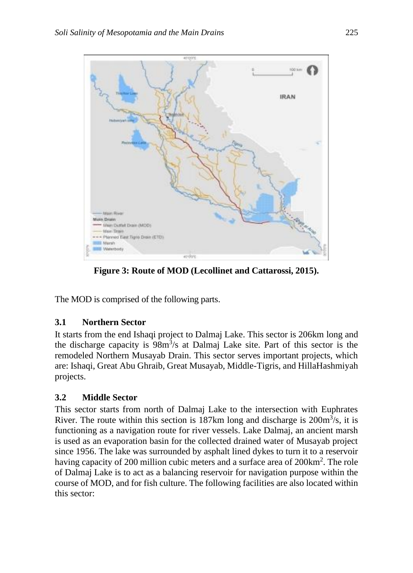

**Figure 3: Route of MOD (Lecollinet and Cattarossi, 2015).**

The MOD is comprised of the following parts.

#### **3.1 Northern Sector**

It starts from the end Ishaqi project to Dalmaj Lake. This sector is 206km long and the discharge capacity is  $98m^3/s$  at Dalmaj Lake site. Part of this sector is the remodeled Northern Musayab Drain. This sector serves important projects, which are: Ishaqi, Great Abu Ghraib, Great Musayab, Middle-Tigris, and HillaHashmiyah projects.

### **3.2 Middle Sector**

This sector starts from north of Dalmaj Lake to the intersection with Euphrates River. The route within this section is 187km long and discharge is  $200 \text{m}^3/\text{s}$ , it is functioning as a navigation route for river vessels. Lake Dalmaj, an ancient marsh is used as an evaporation basin for the collected drained water of Musayab project since 1956. The lake was surrounded by asphalt lined dykes to turn it to a reservoir having capacity of 200 million cubic meters and a surface area of 200km<sup>2</sup>. The role of Dalmaj Lake is to act as a balancing reservoir for navigation purpose within the course of MOD, and for fish culture. The following facilities are also located within this sector: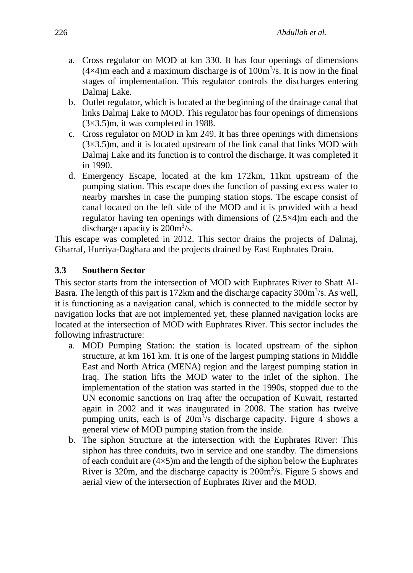- a. Cross regulator on MOD at km 330. It has four openings of dimensions  $(4\times4)$ m each and a maximum discharge is of  $100m<sup>3</sup>/s$ . It is now in the final stages of implementation. This regulator controls the discharges entering Dalmaj Lake.
- b. Outlet regulator, which is located at the beginning of the drainage canal that links Dalmaj Lake to MOD. This regulator has four openings of dimensions (3×3.5)m, it was completed in 1988.
- c. Cross regulator on MOD in km 249. It has three openings with dimensions  $(3\times3.5)$ m, and it is located upstream of the link canal that links MOD with Dalmaj Lake and its function is to control the discharge. It was completed it in 1990.
- d. Emergency Escape, located at the km 172km, 11km upstream of the pumping station. This escape does the function of passing excess water to nearby marshes in case the pumping station stops. The escape consist of canal located on the left side of the MOD and it is provided with a head regulator having ten openings with dimensions of (2.5×4)m each and the discharge capacity is  $200m^3/s$ .

This escape was completed in 2012. This sector drains the projects of Dalmaj, Gharraf, Hurriya-Daghara and the projects drained by East Euphrates Drain.

#### **3.3 Southern Sector**

This sector starts from the intersection of MOD with Euphrates River to Shatt Al-Basra. The length of this part is 172km and the discharge capacity 300m<sup>3</sup>/s. As well, it is functioning as a navigation canal, which is connected to the middle sector by navigation locks that are not implemented yet, these planned navigation locks are located at the intersection of MOD with Euphrates River. This sector includes the following infrastructure:

- a. MOD Pumping Station: the station is located upstream of the siphon structure, at km 161 km. It is one of the largest pumping stations in Middle East and North Africa (MENA) region and the largest pumping station in Iraq. The station lifts the MOD water to the inlet of the siphon. The implementation of the station was started in the 1990s, stopped due to the UN economic sanctions on Iraq after the occupation of Kuwait, restarted again in 2002 and it was inaugurated in 2008. The station has twelve pumping units, each is of  $20m^3/s$  discharge capacity. Figure 4 shows a general view of MOD pumping station from the inside.
- b. The siphon Structure at the intersection with the Euphrates River: This siphon has three conduits, two in service and one standby. The dimensions of each conduit are  $(4\times5)$ m and the length of the siphon below the Euphrates River is 320m, and the discharge capacity is  $200 \text{m}^3/\text{s}$ . Figure 5 shows and aerial view of the intersection of Euphrates River and the MOD.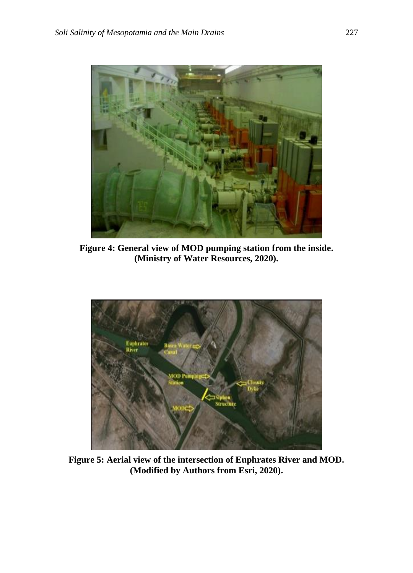

**Figure 4: General view of MOD pumping station from the inside. (Ministry of Water Resources, 2020).**



**Figure 5: Aerial view of the intersection of Euphrates River and MOD. (Modified by Authors from Esri, 2020).**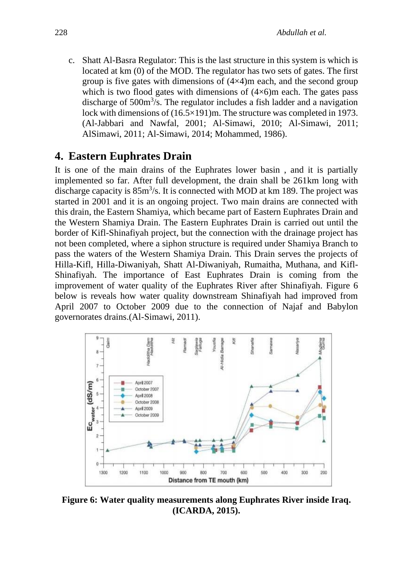c. Shatt Al-Basra Regulator: This is the last structure in this system is which is located at km (0) of the MOD. The regulator has two sets of gates. The first group is five gates with dimensions of  $(4\times4)$ m each, and the second group which is two flood gates with dimensions of  $(4\times6)$ m each. The gates pass discharge of 500m<sup>3</sup>/s. The regulator includes a fish ladder and a navigation lock with dimensions of (16.5×191)m. The structure was completed in 1973. (Al-Jabbari and Nawfal, 2001; Al-Simawi, 2010; Al-Simawi, 2011; AlSimawi, 2011; Al-Simawi, 2014; Mohammed, 1986).

#### **4. Eastern Euphrates Drain**

It is one of the main drains of the Euphrates lower basin , and it is partially implemented so far. After full development, the drain shall be 261km long with discharge capacity is  $85m^3/s$ . It is connected with MOD at km 189. The project was started in 2001 and it is an ongoing project. Two main drains are connected with this drain, the Eastern Shamiya, which became part of Eastern Euphrates Drain and the Western Shamiya Drain. The Eastern Euphrates Drain is carried out until the border of Kifl-Shinafiyah project, but the connection with the drainage project has not been completed, where a siphon structure is required under Shamiya Branch to pass the waters of the Western Shamiya Drain. This Drain serves the projects of Hilla-Kifl, Hilla-Diwaniyah, Shatt Al-Diwaniyah, Rumaitha, Muthana, and Kifl-Shinafiyah. The importance of East Euphrates Drain is coming from the improvement of water quality of the Euphrates River after Shinafiyah. Figure 6 below is reveals how water quality downstream Shinafiyah had improved from April 2007 to October 2009 due to the connection of Najaf and Babylon governorates drains.(Al-Simawi, 2011).



**Figure 6: Water quality measurements along Euphrates River inside Iraq. (ICARDA, 2015).**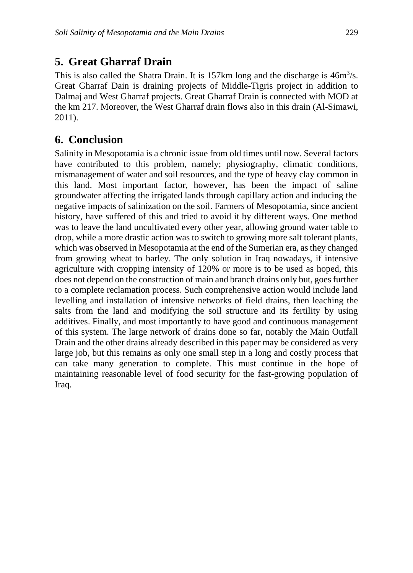## **5. Great Gharraf Drain**

This is also called the Shatra Drain. It is 157km long and the discharge is  $46m^3/s$ . Great Gharraf Dain is draining projects of Middle-Tigris project in addition to Dalmaj and West Gharraf projects. Great Gharraf Drain is connected with MOD at the km 217. Moreover, the West Gharraf drain flows also in this drain (Al-Simawi, 2011).

## **6. Conclusion**

Salinity in Mesopotamia is a chronic issue from old times until now. Several factors have contributed to this problem, namely; physiography, climatic conditions, mismanagement of water and soil resources, and the type of heavy clay common in this land. Most important factor, however, has been the impact of saline groundwater affecting the irrigated lands through capillary action and inducing the negative impacts of salinization on the soil. Farmers of Mesopotamia, since ancient history, have suffered of this and tried to avoid it by different ways. One method was to leave the land uncultivated every other year, allowing ground water table to drop, while a more drastic action was to switch to growing more salt tolerant plants, which was observed in Mesopotamia at the end of the Sumerian era, as they changed from growing wheat to barley. The only solution in Iraq nowadays, if intensive agriculture with cropping intensity of 120% or more is to be used as hoped, this does not depend on the construction of main and branch drains only but, goes further to a complete reclamation process. Such comprehensive action would include land levelling and installation of intensive networks of field drains, then leaching the salts from the land and modifying the soil structure and its fertility by using additives. Finally, and most importantly to have good and continuous management of this system. The large network of drains done so far, notably the Main Outfall Drain and the other drains already described in this paper may be considered as very large job, but this remains as only one small step in a long and costly process that can take many generation to complete. This must continue in the hope of maintaining reasonable level of food security for the fast-growing population of Iraq.